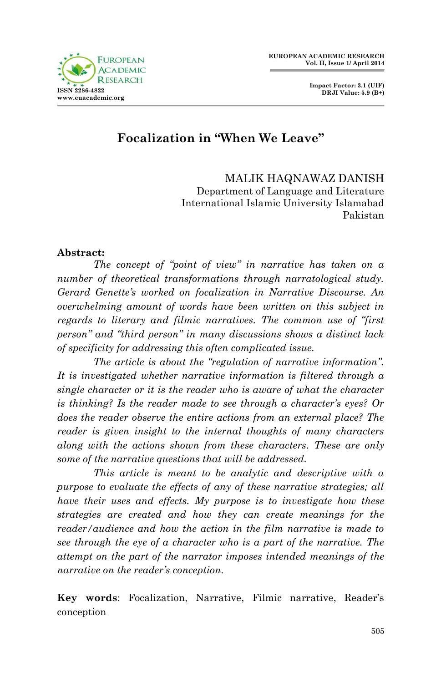



# **Focalization in "When We Leave"**

MALIK HAQNAWAZ DANISH Department of Language and Literature International Islamic University Islamabad Pakistan

#### **Abstract:**

*The concept of "point of view" in narrative has taken on a number of theoretical transformations through narratological study. Gerard Genette's worked on focalization in Narrative Discourse. An overwhelming amount of words have been written on this subject in regards to literary and filmic narratives. The common use of "first person" and "third person" in many discussions shows a distinct lack of specificity for addressing this often complicated issue.*

*The article is about the "regulation of narrative information". It is investigated whether narrative information is filtered through a single character or it is the reader who is aware of what the character is thinking? Is the reader made to see through a character's eyes? Or does the reader observe the entire actions from an external place? The reader is given insight to the internal thoughts of many characters along with the actions shown from these characters. These are only some of the narrative questions that will be addressed.*

*This article is meant to be analytic and descriptive with a purpose to evaluate the effects of any of these narrative strategies; all have their uses and effects. My purpose is to investigate how these strategies are created and how they can create meanings for the reader/audience and how the action in the film narrative is made to see through the eye of a character who is a part of the narrative. The attempt on the part of the narrator imposes intended meanings of the narrative on the reader's conception.*

**Key words**: Focalization, Narrative, Filmic narrative, Reader's conception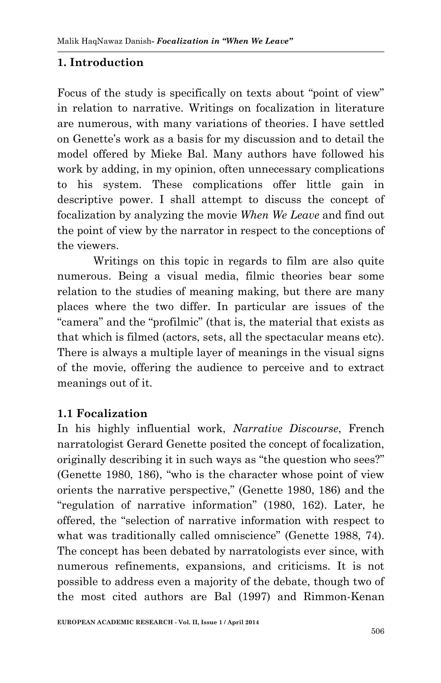# **1. Introduction**

Focus of the study is specifically on texts about "point of view" in relation to narrative. Writings on focalization in literature are numerous, with many variations of theories. I have settled on Genette's work as a basis for my discussion and to detail the model offered by Mieke Bal. Many authors have followed his work by adding, in my opinion, often unnecessary complications to his system. These complications offer little gain in descriptive power. I shall attempt to discuss the concept of focalization by analyzing the movie *When We Leave* and find out the point of view by the narrator in respect to the conceptions of the viewers.

Writings on this topic in regards to film are also quite numerous. Being a visual media, filmic theories bear some relation to the studies of meaning making, but there are many places where the two differ. In particular are issues of the "camera" and the "profilmic" (that is, the material that exists as that which is filmed (actors, sets, all the spectacular means etc). There is always a multiple layer of meanings in the visual signs of the movie, offering the audience to perceive and to extract meanings out of it.

#### **1.1 Focalization**

In his highly influential work, *Narrative Discourse*, French narratologist Gerard Genette posited the concept of focalization, originally describing it in such ways as "the question who sees?" (Genette 1980, 186), "who is the character whose point of view orients the narrative perspective," (Genette 1980, 186) and the "regulation of narrative information" (1980, 162). Later, he offered, the "selection of narrative information with respect to what was traditionally called omniscience" (Genette 1988, 74). The concept has been debated by narratologists ever since, with numerous refinements, expansions, and criticisms. It is not possible to address even a majority of the debate, though two of the most cited authors are Bal (1997) and Rimmon-Kenan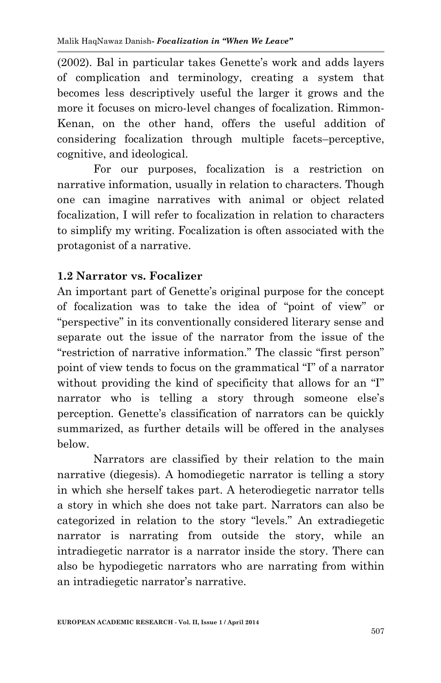(2002). Bal in particular takes Genette's work and adds layers of complication and terminology, creating a system that becomes less descriptively useful the larger it grows and the more it focuses on micro-level changes of focalization. Rimmon-Kenan, on the other hand, offers the useful addition of considering focalization through multiple facets–perceptive, cognitive, and ideological.

For our purposes, focalization is a restriction on narrative information, usually in relation to characters. Though one can imagine narratives with animal or object related focalization, I will refer to focalization in relation to characters to simplify my writing. Focalization is often associated with the protagonist of a narrative.

## **1.2 Narrator vs. Focalizer**

An important part of Genette's original purpose for the concept of focalization was to take the idea of "point of view" or "perspective" in its conventionally considered literary sense and separate out the issue of the narrator from the issue of the "restriction of narrative information." The classic "first person" point of view tends to focus on the grammatical "I" of a narrator without providing the kind of specificity that allows for an "I" narrator who is telling a story through someone else's perception. Genette's classification of narrators can be quickly summarized, as further details will be offered in the analyses below.

Narrators are classified by their relation to the main narrative (diegesis). A homodiegetic narrator is telling a story in which she herself takes part. A heterodiegetic narrator tells a story in which she does not take part. Narrators can also be categorized in relation to the story "levels." An extradiegetic narrator is narrating from outside the story, while an intradiegetic narrator is a narrator inside the story. There can also be hypodiegetic narrators who are narrating from within an intradiegetic narrator's narrative.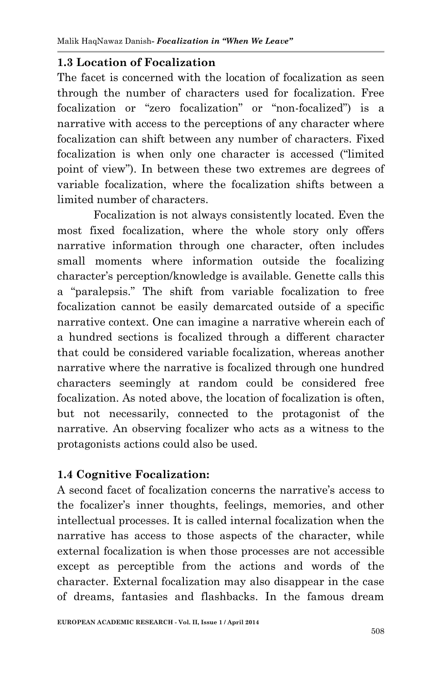## **1.3 Location of Focalization**

The facet is concerned with the location of focalization as seen through the number of characters used for focalization. Free focalization or "zero focalization" or "non-focalized") is a narrative with access to the perceptions of any character where focalization can shift between any number of characters. Fixed focalization is when only one character is accessed ("limited point of view"). In between these two extremes are degrees of variable focalization, where the focalization shifts between a limited number of characters.

Focalization is not always consistently located. Even the most fixed focalization, where the whole story only offers narrative information through one character, often includes small moments where information outside the focalizing character's perception/knowledge is available. Genette calls this a "paralepsis." The shift from variable focalization to free focalization cannot be easily demarcated outside of a specific narrative context. One can imagine a narrative wherein each of a hundred sections is focalized through a different character that could be considered variable focalization, whereas another narrative where the narrative is focalized through one hundred characters seemingly at random could be considered free focalization. As noted above, the location of focalization is often, but not necessarily, connected to the protagonist of the narrative. An observing focalizer who acts as a witness to the protagonists actions could also be used.

## **1.4 Cognitive Focalization:**

A second facet of focalization concerns the narrative's access to the focalizer's inner thoughts, feelings, memories, and other intellectual processes. It is called internal focalization when the narrative has access to those aspects of the character, while external focalization is when those processes are not accessible except as perceptible from the actions and words of the character. External focalization may also disappear in the case of dreams, fantasies and flashbacks. In the famous dream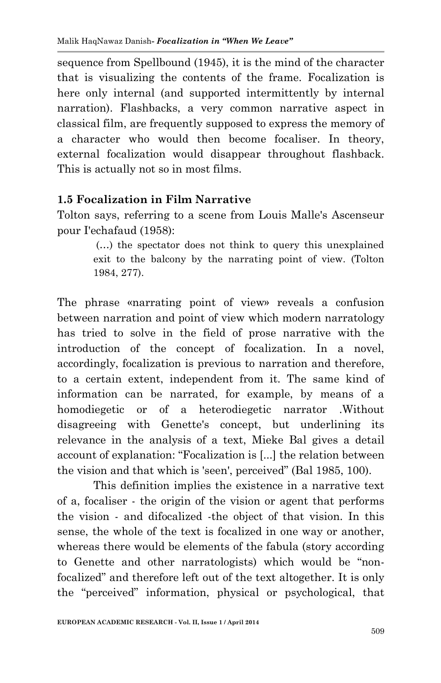sequence from Spellbound (1945), it is the mind of the character that is visualizing the contents of the frame. Focalization is here only internal (and supported intermittently by internal narration). Flashbacks, a very common narrative aspect in classical film, are frequently supposed to express the memory of a character who would then become focaliser. In theory, external focalization would disappear throughout flashback. This is actually not so in most films.

## **1.5 Focalization in Film Narrative**

Tolton says, referring to a scene from Louis Malle's Ascenseur pour I'echafaud (1958):

> (…) the spectator does not think to query this unexplained exit to the balcony by the narrating point of view. (Tolton 1984, 277).

The phrase «narrating point of view» reveals a confusion between narration and point of view which modern narratology has tried to solve in the field of prose narrative with the introduction of the concept of focalization. In a novel, accordingly, focalization is previous to narration and therefore, to a certain extent, independent from it. The same kind of information can be narrated, for example, by means of a homodiegetic or of a heterodiegetic narrator .Without disagreeing with Genette's concept, but underlining its relevance in the analysis of a text, Mieke Bal gives a detail account of explanation: "Focalization is [...] the relation between the vision and that which is 'seen', perceived" (Bal 1985, 100).

This definition implies the existence in a narrative text of a, focaliser - the origin of the vision or agent that performs the vision - and difocalized -the object of that vision. In this sense, the whole of the text is focalized in one way or another, whereas there would be elements of the fabula (story according to Genette and other narratologists) which would be "nonfocalized" and therefore left out of the text altogether. It is only the "perceived" information, physical or psychological, that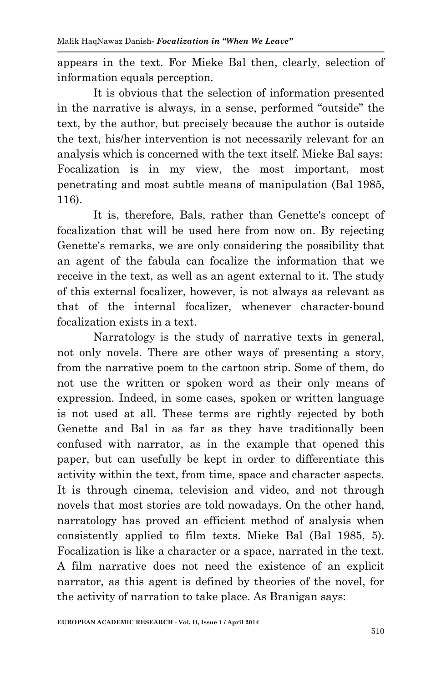appears in the text. For Mieke Bal then, clearly, selection of information equals perception.

It is obvious that the selection of information presented in the narrative is always, in a sense, performed "outside" the text, by the author, but precisely because the author is outside the text, his/her intervention is not necessarily relevant for an analysis which is concerned with the text itself. Mieke Bal says: Focalization is in my view, the most important, most penetrating and most subtle means of manipulation (Bal 1985, 116).

It is, therefore, Bals, rather than Genette's concept of focalization that will be used here from now on. By rejecting Genette's remarks, we are only considering the possibility that an agent of the fabula can focalize the information that we receive in the text, as well as an agent external to it. The study of this external focalizer, however, is not always as relevant as that of the internal focalizer, whenever character-bound focalization exists in a text.

Narratology is the study of narrative texts in general, not only novels. There are other ways of presenting a story, from the narrative poem to the cartoon strip. Some of them, do not use the written or spoken word as their only means of expression. Indeed, in some cases, spoken or written language is not used at all. These terms are rightly rejected by both Genette and Bal in as far as they have traditionally been confused with narrator, as in the example that opened this paper, but can usefully be kept in order to differentiate this activity within the text, from time, space and character aspects. It is through cinema, television and video, and not through novels that most stories are told nowadays. On the other hand, narratology has proved an efficient method of analysis when consistently applied to film texts. Mieke Bal (Bal 1985, 5). Focalization is like a character or a space, narrated in the text. A film narrative does not need the existence of an explicit narrator, as this agent is defined by theories of the novel, for the activity of narration to take place. As Branigan says: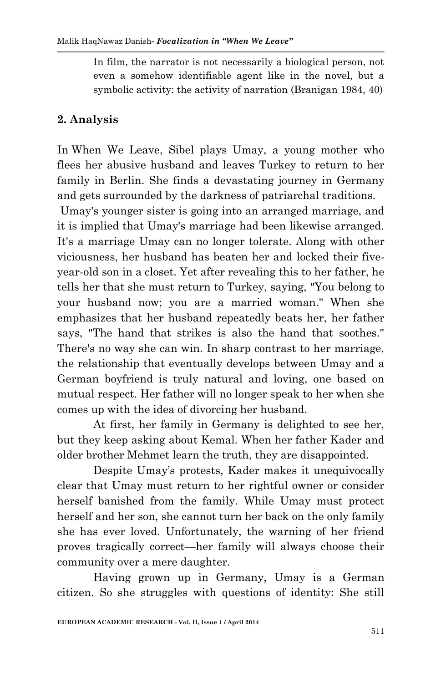In film, the narrator is not necessarily a biological person, not even a somehow identifiable agent like in the novel, but a symbolic activity: the activity of narration (Branigan 1984, 40)

# **2. Analysis**

In When We Leave, Sibel plays Umay, a young mother who flees her abusive husband and leaves Turkey to return to her family in Berlin. She finds a devastating journey in Germany and gets surrounded by the darkness of patriarchal traditions.

Umay's younger sister is going into an arranged marriage, and it is implied that Umay's marriage had been likewise arranged. It's a marriage Umay can no longer tolerate. Along with other viciousness, her husband has beaten her and locked their fiveyear-old son in a closet. Yet after revealing this to her father, he tells her that she must return to Turkey, saying, "You belong to your husband now; you are a married woman." When she emphasizes that her husband repeatedly beats her, her father says, "The hand that strikes is also the hand that soothes." There's no way she can win. In sharp contrast to her marriage, the relationship that eventually develops between Umay and a German boyfriend is truly natural and loving, one based on mutual respect. Her father will no longer speak to her when she comes up with the idea of divorcing her husband.

At first, her family in Germany is delighted to see her, but they keep asking about Kemal. When her father Kader and older brother Mehmet learn the truth, they are disappointed.

Despite Umay's protests, Kader makes it unequivocally clear that Umay must return to her rightful owner or consider herself banished from the family. While Umay must protect herself and her son, she cannot turn her back on the only family she has ever loved. Unfortunately, the warning of her friend proves tragically correct—her family will always choose their community over a mere daughter.

Having grown up in Germany, Umay is a German citizen. So she struggles with questions of identity: She still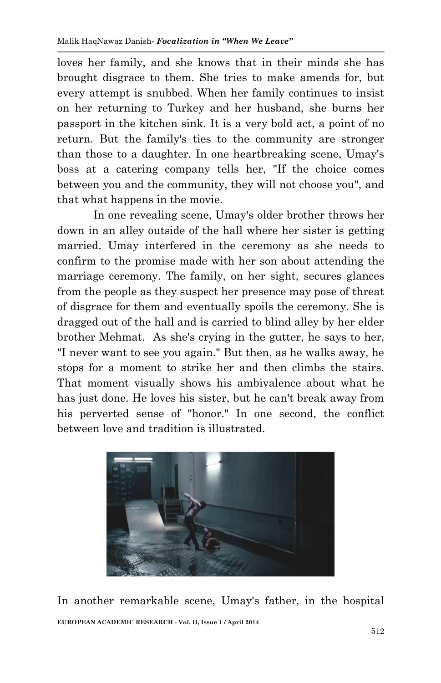loves her family, and she knows that in their minds she has brought disgrace to them. She tries to make amends for, but every attempt is snubbed. When her family continues to insist on her returning to Turkey and her husband, she burns her passport in the kitchen sink. It is a very bold act, a point of no return. But the family's ties to the community are stronger than those to a daughter. In one heartbreaking scene, Umay's boss at a catering company tells her, "If the choice comes between you and the community, they will not choose you", and that what happens in the movie.

In one revealing scene, Umay's older brother throws her down in an alley outside of the hall where her sister is getting married. Umay interfered in the ceremony as she needs to confirm to the promise made with her son about attending the marriage ceremony. The family, on her sight, secures glances from the people as they suspect her presence may pose of threat of disgrace for them and eventually spoils the ceremony. She is dragged out of the hall and is carried to blind alley by her elder brother Mehmat. As she's crying in the gutter, he says to her, "I never want to see you again." But then, as he walks away, he stops for a moment to strike her and then climbs the stairs. That moment visually shows his ambivalence about what he has just done. He loves his sister, but he can't break away from his perverted sense of "honor." In one second, the conflict between love and tradition is illustrated.



**EUROPEAN ACADEMIC RESEARCH - Vol. II, Issue 1 / April 2014** In another remarkable scene, Umay's father, in the hospital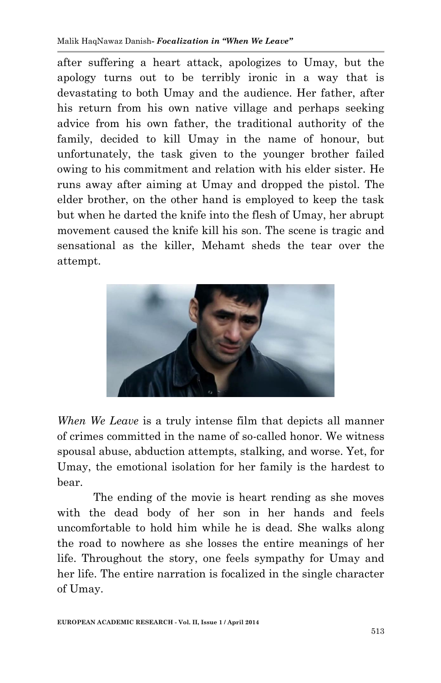after suffering a heart attack, apologizes to Umay, but the apology turns out to be terribly ironic in a way that is devastating to both Umay and the audience. Her father, after his return from his own native village and perhaps seeking advice from his own father, the traditional authority of the family, decided to kill Umay in the name of honour, but unfortunately, the task given to the younger brother failed owing to his commitment and relation with his elder sister. He runs away after aiming at Umay and dropped the pistol. The elder brother, on the other hand is employed to keep the task but when he darted the knife into the flesh of Umay, her abrupt movement caused the knife kill his son. The scene is tragic and sensational as the killer, Mehamt sheds the tear over the attempt.



*When We Leave* is a truly intense film that depicts all manner of crimes committed in the name of so-called honor. We witness spousal abuse, abduction attempts, stalking, and worse. Yet, for Umay, the emotional isolation for her family is the hardest to bear.

The ending of the movie is heart rending as she moves with the dead body of her son in her hands and feels uncomfortable to hold him while he is dead. She walks along the road to nowhere as she losses the entire meanings of her life. Throughout the story, one feels sympathy for Umay and her life. The entire narration is focalized in the single character of Umay.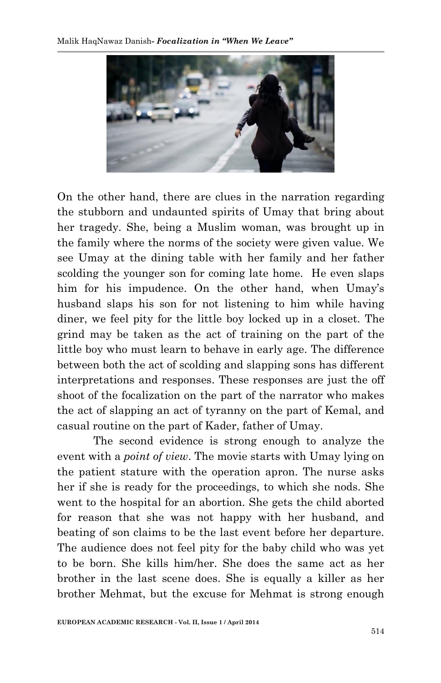

On the other hand, there are clues in the narration regarding the stubborn and undaunted spirits of Umay that bring about her tragedy. She, being a Muslim woman, was brought up in the family where the norms of the society were given value. We see Umay at the dining table with her family and her father scolding the younger son for coming late home. He even slaps him for his impudence. On the other hand, when Umay's husband slaps his son for not listening to him while having diner, we feel pity for the little boy locked up in a closet. The grind may be taken as the act of training on the part of the little boy who must learn to behave in early age. The difference between both the act of scolding and slapping sons has different interpretations and responses. These responses are just the off shoot of the focalization on the part of the narrator who makes the act of slapping an act of tyranny on the part of Kemal, and casual routine on the part of Kader, father of Umay.

The second evidence is strong enough to analyze the event with a *point of view*. The movie starts with Umay lying on the patient stature with the operation apron. The nurse asks her if she is ready for the proceedings, to which she nods. She went to the hospital for an abortion. She gets the child aborted for reason that she was not happy with her husband, and beating of son claims to be the last event before her departure. The audience does not feel pity for the baby child who was yet to be born. She kills him/her. She does the same act as her brother in the last scene does. She is equally a killer as her brother Mehmat, but the excuse for Mehmat is strong enough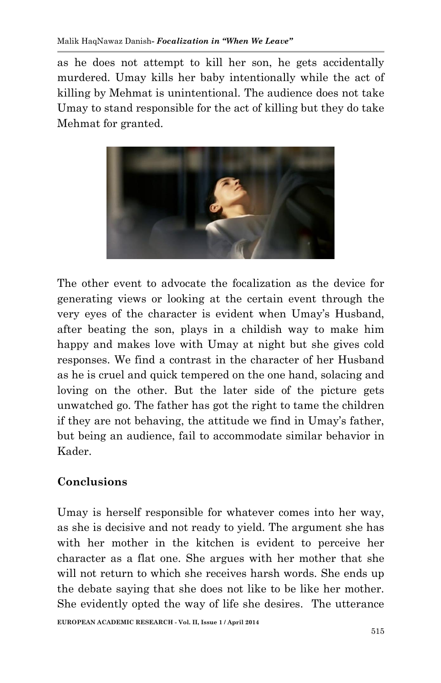as he does not attempt to kill her son, he gets accidentally murdered. Umay kills her baby intentionally while the act of killing by Mehmat is unintentional. The audience does not take Umay to stand responsible for the act of killing but they do take Mehmat for granted.



The other event to advocate the focalization as the device for generating views or looking at the certain event through the very eyes of the character is evident when Umay's Husband, after beating the son, plays in a childish way to make him happy and makes love with Umay at night but she gives cold responses. We find a contrast in the character of her Husband as he is cruel and quick tempered on the one hand, solacing and loving on the other. But the later side of the picture gets unwatched go. The father has got the right to tame the children if they are not behaving, the attitude we find in Umay's father, but being an audience, fail to accommodate similar behavior in Kader.

# **Conclusions**

Umay is herself responsible for whatever comes into her way, as she is decisive and not ready to yield. The argument she has with her mother in the kitchen is evident to perceive her character as a flat one. She argues with her mother that she will not return to which she receives harsh words. She ends up the debate saying that she does not like to be like her mother. She evidently opted the way of life she desires. The utterance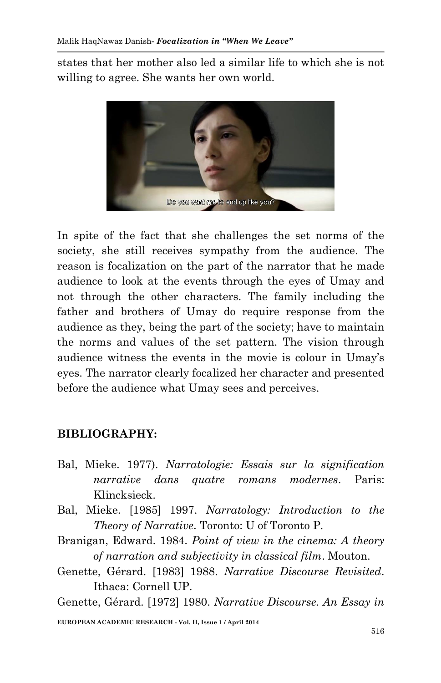states that her mother also led a similar life to which she is not willing to agree. She wants her own world.



In spite of the fact that she challenges the set norms of the society, she still receives sympathy from the audience. The reason is focalization on the part of the narrator that he made audience to look at the events through the eyes of Umay and not through the other characters. The family including the father and brothers of Umay do require response from the audience as they, being the part of the society; have to maintain the norms and values of the set pattern. The vision through audience witness the events in the movie is colour in Umay's eyes. The narrator clearly focalized her character and presented before the audience what Umay sees and perceives.

## **BIBLIOGRAPHY:**

- Bal, Mieke. 1977). *Narratologie: Essais sur la signification narrative dans quatre romans modernes*. Paris: Klincksieck.
- Bal, Mieke. [1985] 1997. *Narratology: Introduction to the Theory of Narrative*. Toronto: U of Toronto P.
- Branigan, Edward. 1984. *Point of view in the cinema: A theory of narration and subjectivity in classical film*. Mouton.
- Genette, Gérard. [1983] 1988. *Narrative Discourse Revisited*. Ithaca: Cornell UP.

Genette, Gérard. [1972] 1980. *Narrative Discourse. An Essay in*